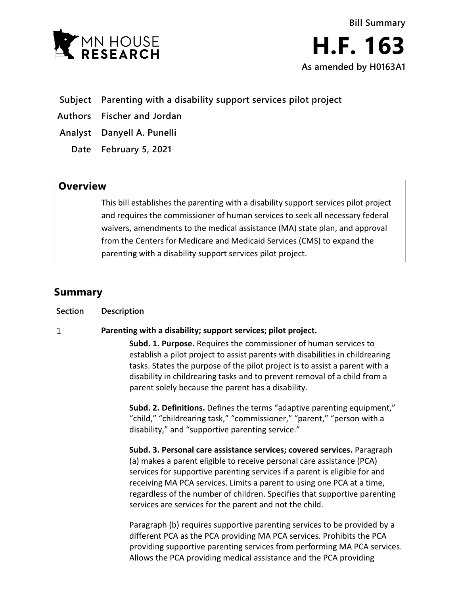

# **Subject Parenting with a disability support services pilot project**

**Authors Fischer and Jordan**

**Analyst Danyell A. Punelli**

**Date February 5, 2021**

# **Overview**

This bill establishes the parenting with a disability support services pilot project and requires the commissioner of human services to seek all necessary federal waivers, amendments to the medical assistance (MA) state plan, and approval from the Centers for Medicare and Medicaid Services (CMS) to expand the parenting with a disability support services pilot project.

# **Summary**

| <b>Section</b> | Description                                                                                                                                                                                                                                                                                                                                                                                                                                                                                                                                                                                                                                                                                                                                                                                                |
|----------------|------------------------------------------------------------------------------------------------------------------------------------------------------------------------------------------------------------------------------------------------------------------------------------------------------------------------------------------------------------------------------------------------------------------------------------------------------------------------------------------------------------------------------------------------------------------------------------------------------------------------------------------------------------------------------------------------------------------------------------------------------------------------------------------------------------|
| 1              | Parenting with a disability; support services; pilot project.<br><b>Subd. 1. Purpose.</b> Requires the commissioner of human services to<br>establish a pilot project to assist parents with disabilities in childrearing<br>tasks. States the purpose of the pilot project is to assist a parent with a<br>disability in childrearing tasks and to prevent removal of a child from a<br>parent solely because the parent has a disability.<br>Subd. 2. Definitions. Defines the terms "adaptive parenting equipment,"<br>"child," "childrearing task," "commissioner," "parent," "person with a                                                                                                                                                                                                           |
|                | disability," and "supportive parenting service."<br>Subd. 3. Personal care assistance services; covered services. Paragraph<br>(a) makes a parent eligible to receive personal care assistance (PCA)<br>services for supportive parenting services if a parent is eligible for and<br>receiving MA PCA services. Limits a parent to using one PCA at a time,<br>regardless of the number of children. Specifies that supportive parenting<br>services are services for the parent and not the child.<br>Paragraph (b) requires supportive parenting services to be provided by a<br>different PCA as the PCA providing MA PCA services. Prohibits the PCA<br>providing supportive parenting services from performing MA PCA services.<br>Allows the PCA providing medical assistance and the PCA providing |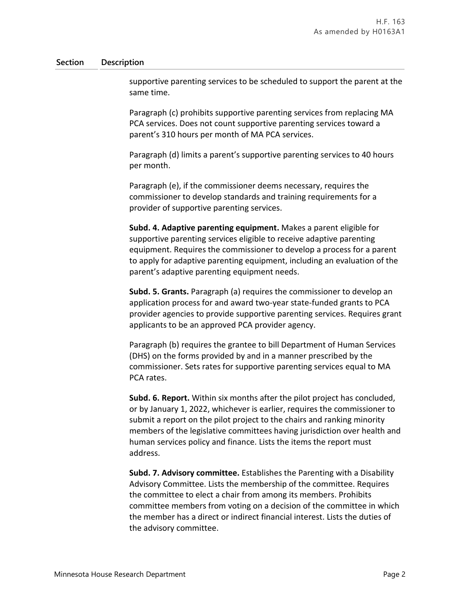#### **Section Description**

supportive parenting services to be scheduled to support the parent at the same time.

Paragraph (c) prohibits supportive parenting services from replacing MA PCA services. Does not count supportive parenting services toward a parent's 310 hours per month of MA PCA services.

Paragraph (d) limits a parent's supportive parenting services to 40 hours per month.

Paragraph (e), if the commissioner deems necessary, requires the commissioner to develop standards and training requirements for a provider of supportive parenting services.

**Subd. 4. Adaptive parenting equipment.** Makes a parent eligible for supportive parenting services eligible to receive adaptive parenting equipment. Requires the commissioner to develop a process for a parent to apply for adaptive parenting equipment, including an evaluation of the parent's adaptive parenting equipment needs.

**Subd. 5. Grants.** Paragraph (a) requires the commissioner to develop an application process for and award two-year state-funded grants to PCA provider agencies to provide supportive parenting services. Requires grant applicants to be an approved PCA provider agency.

Paragraph (b) requires the grantee to bill Department of Human Services (DHS) on the forms provided by and in a manner prescribed by the commissioner. Sets rates for supportive parenting services equal to MA PCA rates.

**Subd. 6. Report.** Within six months after the pilot project has concluded, or by January 1, 2022, whichever is earlier, requires the commissioner to submit a report on the pilot project to the chairs and ranking minority members of the legislative committees having jurisdiction over health and human services policy and finance. Lists the items the report must address.

**Subd. 7. Advisory committee.** Establishes the Parenting with a Disability Advisory Committee. Lists the membership of the committee. Requires the committee to elect a chair from among its members. Prohibits committee members from voting on a decision of the committee in which the member has a direct or indirect financial interest. Lists the duties of the advisory committee.